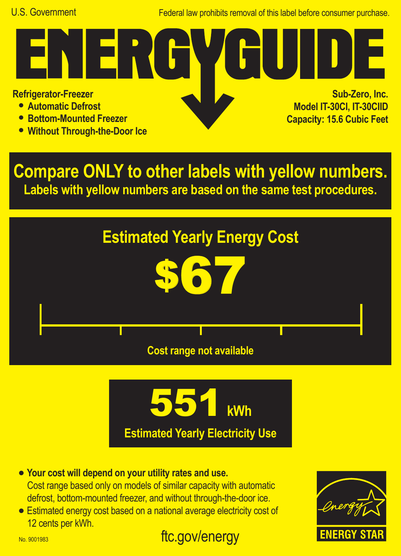Federal law prohibits removal of this label before consumer purchase.

**Refrigerator-Freezer**

- **• Automatic Defrost**
- **• Bottom-Mounted Freezer**
- **• Without Through-the-Door Ice**

**Sub-Zero, Inc. Model IT-30CI, IT-30CIID Capacity: 15.6 Cubic Feet**

**Compare ONLY to other labels with yellow numbers. Labels with yellow numbers are based on the same test procedures.**







ftc.gov/energy **•** Estimated energy cost based on a national average electricity cost of 12 cents per kWh.